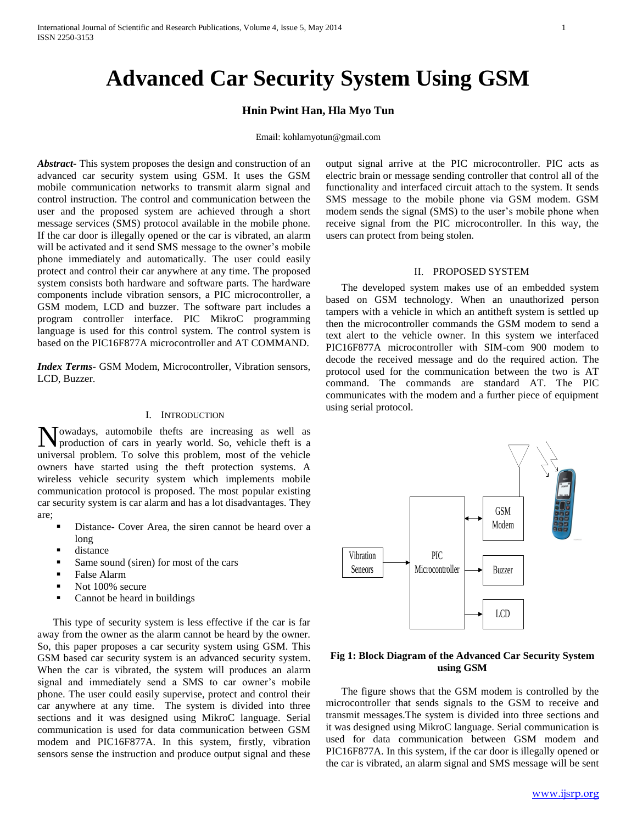# **Advanced Car Security System Using GSM**

# **Hnin Pwint Han, Hla Myo Tun**

#### Email: kohlamyotun@gmail.com

*Abstract***-** This system proposes the design and construction of an advanced car security system using GSM. It uses the GSM mobile communication networks to transmit alarm signal and control instruction. The control and communication between the user and the proposed system are achieved through a short message services (SMS) protocol available in the mobile phone. If the car door is illegally opened or the car is vibrated, an alarm will be activated and it send SMS message to the owner's mobile phone immediately and automatically. The user could easily protect and control their car anywhere at any time. The proposed system consists both hardware and software parts. The hardware components include vibration sensors, a PIC microcontroller, a GSM modem, LCD and buzzer. The software part includes a program controller interface. PIC MikroC programming language is used for this control system. The control system is based on the PIC16F877A microcontroller and AT COMMAND.

*Index Terms*- GSM Modem, Microcontroller, Vibration sensors, LCD, Buzzer.

#### I. INTRODUCTION

owadays, automobile thefts are increasing as well as Nowadays, automobile thefts are increasing as well as production of cars in yearly world. So, vehicle theft is a universal problem. To solve this problem, most of the vehicle owners have started using the theft protection systems. A wireless vehicle security system which implements mobile communication protocol is proposed. The most popular existing car security system is car alarm and has a lot disadvantages. They are;

- Distance- Cover Area, the siren cannot be heard over a long
- distance
- Same sound (siren) for most of the cars
- False Alarm
- Not 100% secure
- Cannot be heard in buildings

 This type of security system is less effective if the car is far away from the owner as the alarm cannot be heard by the owner. So, this paper proposes a car security system using GSM. This GSM based car security system is an advanced security system. When the car is vibrated, the system will produces an alarm signal and immediately send a SMS to car owner's mobile phone. The user could easily supervise, protect and control their car anywhere at any time. The system is divided into three sections and it was designed using MikroC language. Serial communication is used for data communication between GSM modem and PIC16F877A. In this system, firstly, vibration sensors sense the instruction and produce output signal and these

output signal arrive at the PIC microcontroller. PIC acts as electric brain or message sending controller that control all of the functionality and interfaced circuit attach to the system. It sends SMS message to the mobile phone via GSM modem. GSM modem sends the signal (SMS) to the user's mobile phone when receive signal from the PIC microcontroller. In this way, the users can protect from being stolen.

#### II. PROPOSED SYSTEM

 The developed system makes use of an embedded system based on GSM technology. When an unauthorized person tampers with a vehicle in which an antitheft system is settled up then the microcontroller commands the GSM modem to send a text alert to the vehicle owner. In this system we interfaced PIC16F877A microcontroller with SIM-com 900 modem to decode the received message and do the required action. The protocol used for the communication between the two is AT command. The commands are standard AT. The PIC communicates with the modem and a further piece of equipment using serial protocol.



# **Fig 1: Block Diagram of the Advanced Car Security System using GSM**

 The figure shows that the GSM modem is controlled by the microcontroller that sends signals to the GSM to receive and transmit messages.The system is divided into three sections and it was designed using MikroC language. Serial communication is used for data communication between GSM modem and PIC16F877A. In this system, if the car door is illegally opened or the car is vibrated, an alarm signal and SMS message will be sent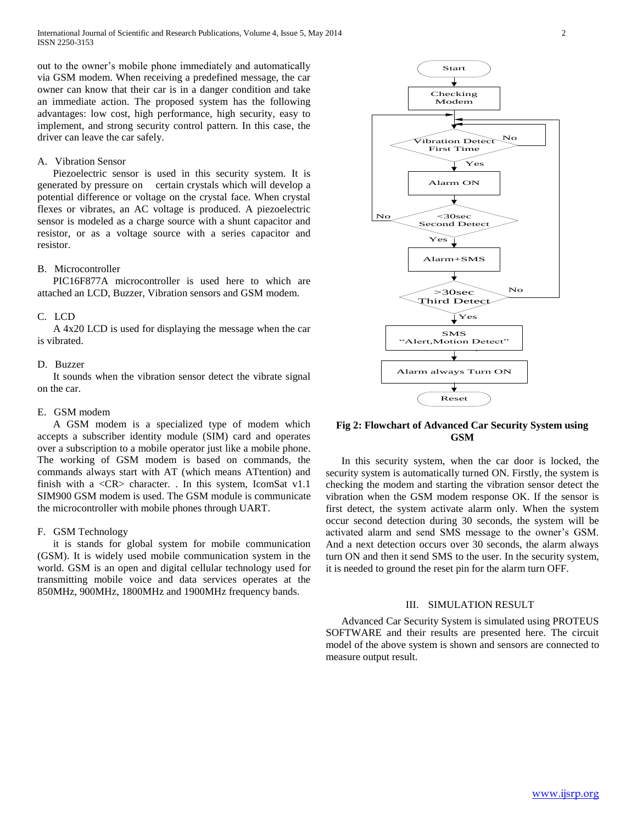out to the owner's mobile phone immediately and automatically via GSM modem. When receiving a predefined message, the car owner can know that their car is in a danger condition and take an immediate action. The proposed system has the following advantages: low cost, high performance, high security, easy to implement, and strong security control pattern. In this case, the driver can leave the car safely.

## A. Vibration Sensor

 Piezoelectric sensor is used in this security system. It is generated by pressure on certain crystals which will develop a potential difference or voltage on the crystal face. When crystal flexes or vibrates, an AC voltage is produced. A piezoelectric sensor is modeled as a charge source with a shunt capacitor and resistor, or as a voltage source with a series capacitor and resistor.

### B. Microcontroller

 PIC16F877A microcontroller is used here to which are attached an LCD, Buzzer, Vibration sensors and GSM modem.

## C. LCD

 A 4x20 LCD is used for displaying the message when the car is vibrated.

## D. Buzzer

 It sounds when the vibration sensor detect the vibrate signal on the car.

## E. GSM modem

 A GSM modem is a specialized type of modem which accepts a subscriber identity module (SIM) card and operates over a subscription to a mobile operator just like a mobile phone. The working of GSM modem is based on commands, the commands always start with AT (which means ATtention) and finish with a  $\langle CR \rangle$  character. . In this system, IcomSat v1.1 SIM900 GSM modem is used. The GSM module is communicate the microcontroller with mobile phones through UART.

## F. GSM Technology

 it is stands for global system for mobile communication (GSM). It is widely used mobile communication system in the world. GSM is an open and digital cellular technology used for transmitting mobile voice and data services operates at the 850MHz, 900MHz, 1800MHz and 1900MHz frequency bands.



# **Fig 2: Flowchart of Advanced Car Security System using GSM**

 In this security system, when the car door is locked, the security system is automatically turned ON. Firstly, the system is checking the modem and starting the vibration sensor detect the vibration when the GSM modem response OK. If the sensor is first detect, the system activate alarm only. When the system occur second detection during 30 seconds, the system will be activated alarm and send SMS message to the owner's GSM. And a next detection occurs over 30 seconds, the alarm always turn ON and then it send SMS to the user. In the security system, it is needed to ground the reset pin for the alarm turn OFF.

## III. SIMULATION RESULT

 Advanced Car Security System is simulated using PROTEUS SOFTWARE and their results are presented here. The circuit model of the above system is shown and sensors are connected to measure output result.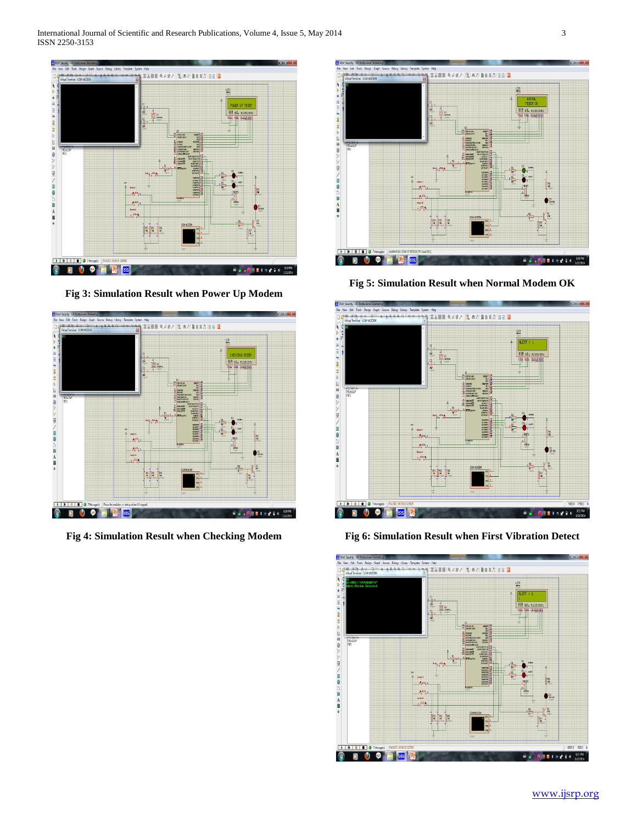

**Fig 3: Simulation Result when Power Up Modem**



**Fig 4: Simulation Result when Checking Modem**



**Fig 5: Simulation Result when Normal Modem OK**



**Fig 6: Simulation Result when First Vibration Detect**

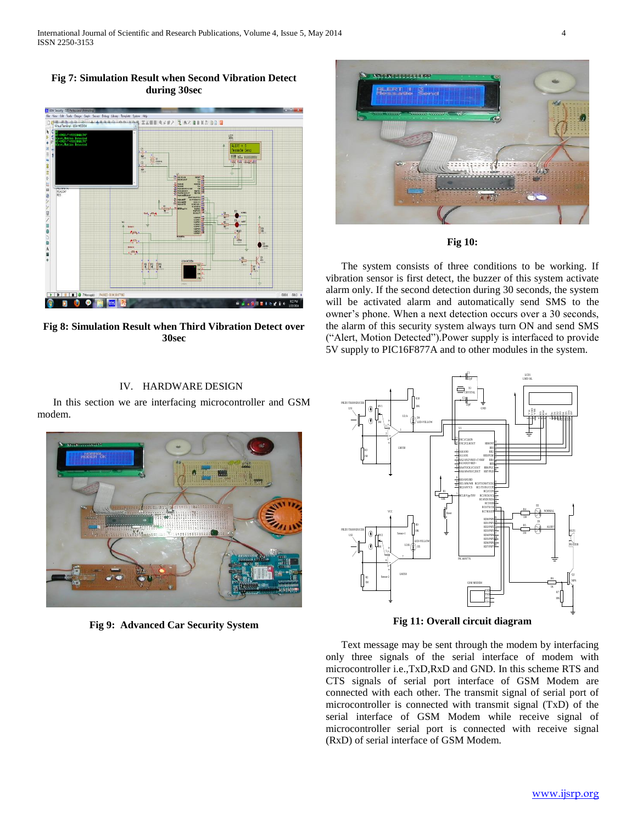**Fig 7: Simulation Result when Second Vibration Detect during 30sec**



**Fig 8: Simulation Result when Third Vibration Detect over 30sec**

## IV. HARDWARE DESIGN

 In this section we are interfacing microcontroller and GSM modem.



**Fig 9: Advanced Car Security System**



**Fig 10:**

 The system consists of three conditions to be working. If vibration sensor is first detect, the buzzer of this system activate alarm only. If the second detection during 30 seconds, the system will be activated alarm and automatically send SMS to the owner's phone. When a next detection occurs over a 30 seconds, the alarm of this security system always turn ON and send SMS ("Alert, Motion Detected").Power supply is interfaced to provide 5V supply to PIC16F877A and to other modules in the system.



**Fig 11: Overall circuit diagram**

 Text message may be sent through the modem by interfacing only three signals of the serial interface of modem with microcontroller i.e.,TxD,RxD and GND. In this scheme RTS and CTS signals of serial port interface of GSM Modem are connected with each other. The transmit signal of serial port of microcontroller is connected with transmit signal (TxD) of the serial interface of GSM Modem while receive signal of microcontroller serial port is connected with receive signal (RxD) of serial interface of GSM Modem.